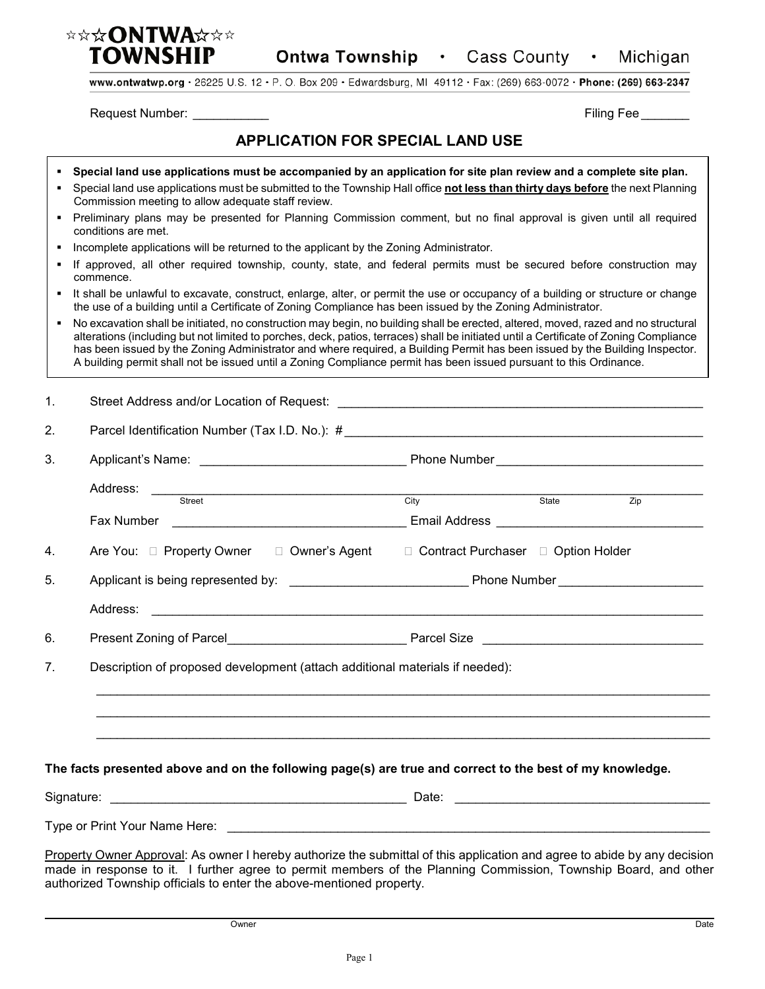

Ontwa Township . Cass County . Michigan

www.ontwatwp.org · 26225 U.S. 12 · P. O. Box 209 · Edwardsburg, MI 49112 · Fax: (269) 663-0072 · Phone: (269) 663-2347

Request Number: \_\_\_\_\_\_\_\_\_\_\_ Filing Fee \_\_\_\_\_\_\_

## **APPLICATION FOR SPECIAL LAND USE**

- **Special land use applications must be accompanied by an application for site plan review and a complete site plan.**
- Special land use applications must be submitted to the Township Hall office **not less than thirty days before** the next Planning Commission meeting to allow adequate staff review.
- Preliminary plans may be presented for Planning Commission comment, but no final approval is given until all required conditions are met.
- **Incomplete applications will be returned to the applicant by the Zoning Administrator.**
- If approved, all other required township, county, state, and federal permits must be secured before construction may commence.
- It shall be unlawful to excavate, construct, enlarge, alter, or permit the use or occupancy of a building or structure or change the use of a building until a Certificate of Zoning Compliance has been issued by the Zoning Administrator.
- No excavation shall be initiated, no construction may begin, no building shall be erected, altered, moved, razed and no structural alterations (including but not limited to porches, deck, patios, terraces) shall be initiated until a Certificate of Zoning Compliance has been issued by the Zoning Administrator and where required, a Building Permit has been issued by the Building Inspector. A building permit shall not be issued until a Zoning Compliance permit has been issued pursuant to this Ordinance.

| 1. |                                                                                                                                                                                                                                                                                                                      |                                      |       |                  |  |
|----|----------------------------------------------------------------------------------------------------------------------------------------------------------------------------------------------------------------------------------------------------------------------------------------------------------------------|--------------------------------------|-------|------------------|--|
| 2. |                                                                                                                                                                                                                                                                                                                      |                                      |       |                  |  |
| 3. |                                                                                                                                                                                                                                                                                                                      |                                      |       |                  |  |
|    | Address: Street City                                                                                                                                                                                                                                                                                                 |                                      | State | $\overline{Zip}$ |  |
|    |                                                                                                                                                                                                                                                                                                                      |                                      |       |                  |  |
| 4. | Are You: □ Property Owner □ Owner's Agent                                                                                                                                                                                                                                                                            | □ Contract Purchaser □ Option Holder |       |                  |  |
| 5. |                                                                                                                                                                                                                                                                                                                      |                                      |       |                  |  |
|    |                                                                                                                                                                                                                                                                                                                      |                                      |       |                  |  |
| 6. |                                                                                                                                                                                                                                                                                                                      |                                      |       |                  |  |
| 7. | Description of proposed development (attach additional materials if needed):                                                                                                                                                                                                                                         |                                      |       |                  |  |
|    |                                                                                                                                                                                                                                                                                                                      |                                      |       |                  |  |
|    |                                                                                                                                                                                                                                                                                                                      |                                      |       |                  |  |
|    |                                                                                                                                                                                                                                                                                                                      |                                      |       |                  |  |
|    | The facts presented above and on the following page(s) are true and correct to the best of my knowledge.                                                                                                                                                                                                             |                                      |       |                  |  |
|    |                                                                                                                                                                                                                                                                                                                      |                                      |       |                  |  |
|    |                                                                                                                                                                                                                                                                                                                      |                                      |       |                  |  |
|    | Property Owner Approval: As owner I hereby authorize the submittal of this application and agree to abide by any decision<br>made in response to it. I further agree to permit members of the Planning Commission, Township Board, and other<br>authorized Township officials to enter the above-mentioned property. |                                      |       |                  |  |